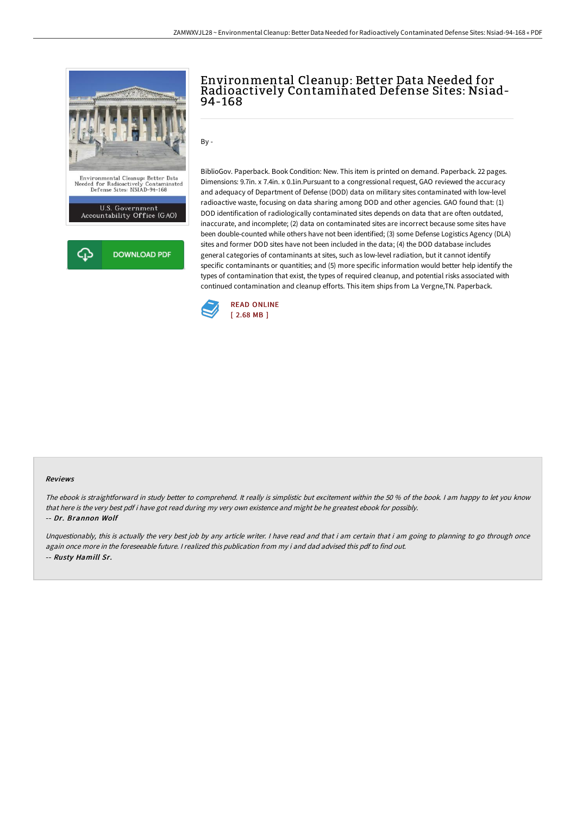

# Environmental Cleanup: Better Data Needed for Radioactively Contaminated Defense Sites: Nsiad-94-168

 $By -$ 

BiblioGov. Paperback. Book Condition: New. This item is printed on demand. Paperback. 22 pages. Dimensions: 9.7in. x 7.4in. x 0.1in.Pursuant to a congressional request, GAO reviewed the accuracy and adequacy of Department of Defense (DOD) data on military sites contaminated with low-level radioactive waste, focusing on data sharing among DOD and other agencies. GAO found that: (1) DOD identification of radiologically contaminated sites depends on data that are often outdated, inaccurate, and incomplete; (2) data on contaminated sites are incorrect because some sites have been double-counted while others have not been identified; (3) some Defense Logistics Agency (DLA) sites and former DOD sites have not been included in the data; (4) the DOD database includes general categories of contaminants at sites, such as low-level radiation, but it cannot identify specific contaminants or quantities; and (5) more specific information would better help identify the types of contamination that exist, the types of required cleanup, and potential risks associated with continued contamination and cleanup efforts. This item ships from La Vergne,TN. Paperback.



#### Reviews

The ebook is straightforward in study better to comprehend. It really is simplistic but excitement within the <sup>50</sup> % of the book. <sup>I</sup> am happy to let you know that here is the very best pdf i have got read during my very own existence and might be he greatest ebook for possibly. -- Dr. Brannon Wolf

Unquestionably, this is actually the very best job by any article writer. I have read and that i am certain that i am going to planning to go through once again once more in the foreseeable future. <sup>I</sup> realized this publication from my i and dad advised this pdf to find out. -- Rusty Hamill Sr.